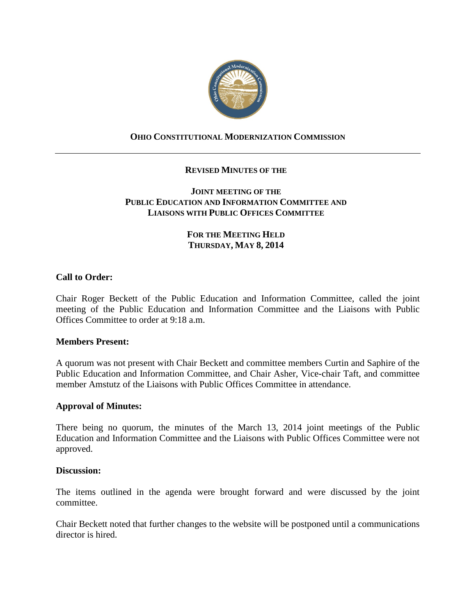

# **OHIO CONSTITUTIONAL MODERNIZATION COMMISSION**

## **REVISED MINUTES OF THE**

## **JOINT MEETING OF THE PUBLIC EDUCATION AND INFORMATION COMMITTEE AND LIAISONS WITH PUBLIC OFFICES COMMITTEE**

# **FOR THE MEETING HELD THURSDAY, MAY 8, 2014**

## **Call to Order:**

Chair Roger Beckett of the Public Education and Information Committee, called the joint meeting of the Public Education and Information Committee and the Liaisons with Public Offices Committee to order at 9:18 a.m.

### **Members Present:**

A quorum was not present with Chair Beckett and committee members Curtin and Saphire of the Public Education and Information Committee, and Chair Asher, Vice-chair Taft, and committee member Amstutz of the Liaisons with Public Offices Committee in attendance.

### **Approval of Minutes:**

There being no quorum, the minutes of the March 13, 2014 joint meetings of the Public Education and Information Committee and the Liaisons with Public Offices Committee were not approved.

#### **Discussion:**

The items outlined in the agenda were brought forward and were discussed by the joint committee.

Chair Beckett noted that further changes to the website will be postponed until a communications director is hired.